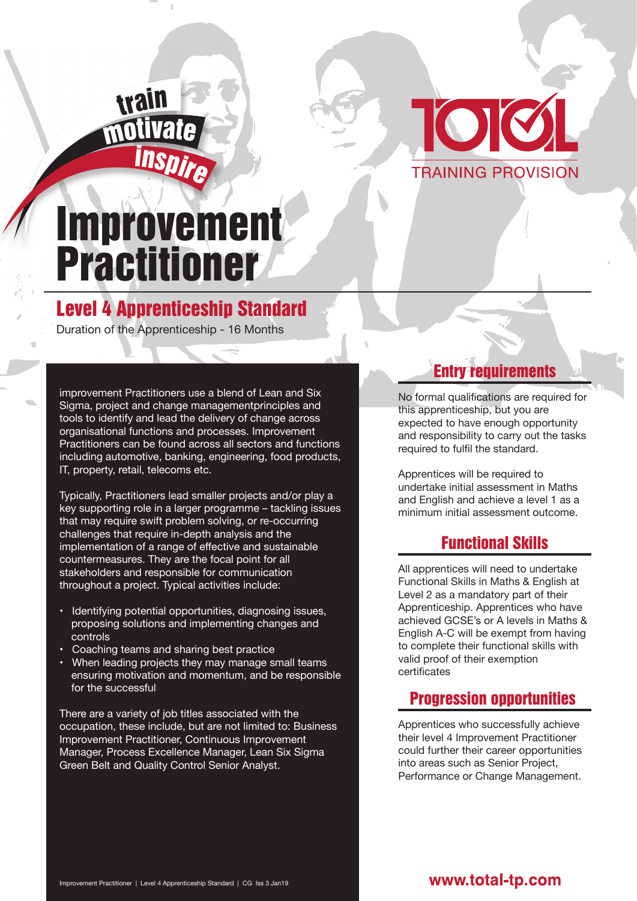

# Improvement Practitioner

<sup>i</sup>nspir<sup>e</sup>

mil

trail

## Level 4 Apprenticeship Standard

Duration of the Apprenticeship - 16 Months

improvement Practitioners use a blend of Lean and Six Sigma, project and change managementprinciples and tools to identify and lead the delivery of change across organisational functions and processes. Improvement Practitioners can be found across all sectors and functions including automotive, banking, engineering, food products, IT, property, retail, telecoms etc.

Typically, Practitioners lead smaller projects and/or play a key supporting role in a larger programme – tackling issues that may require swift problem solving, or re-occurring challenges that require in-depth analysis and the implementation of a range of effective and sustainable countermeasures. They are the focal point for all stakeholders and responsible for communication throughout a project. Typical activities include:

- Identifying potential opportunities, diagnosing issues, proposing solutions and implementing changes and controls
- Coaching teams and sharing best practice
- When leading projects they may manage small teams ensuring motivation and momentum, and be responsible for the successful

There are a variety of job titles associated with the occupation, these include, but are not limited to: Business Improvement Practitioner, Continuous Improvement Manager, Process Excellence Manager, Lean Six Sigma Green Belt and Quality Control Senior Analyst.

## **Entry requirements**

No formal qualifications are required for this apprenticeship, but you are expected to have enough opportunity and responsibility to carry out the tasks required to fulfil the standard.

Apprentices will be required to undertake initial assessment in Maths and English and achieve a level 1 as a minimum initial assessment outcome.

## Functional Skills

All apprentices will need to undertake Functional Skills in Maths & English at Level 2 as a mandatory part of their Apprenticeship. Apprentices who have achieved GCSE's or A levels in Maths & English A-C will be exempt from having to complete their functional skills with valid proof of their exemption certificates

## Progression opportunities

Apprentices who successfully achieve their level 4 Improvement Practitioner could further their career opportunities into areas such as Senior Project, Performance or Change Management.

#### www.total-tp.com